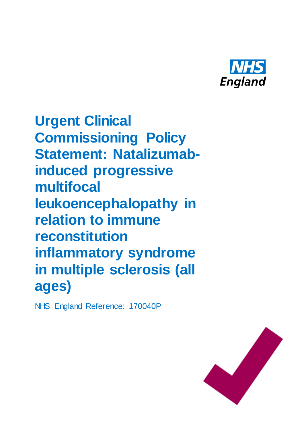

**Urgent Clinical Commissioning Policy Statement: Natalizumabinduced progressive multifocal leukoencephalopathy in relation to immune reconstitution inflammatory syndrome in multiple sclerosis (all ages)**

NHS England Reference: 170040P

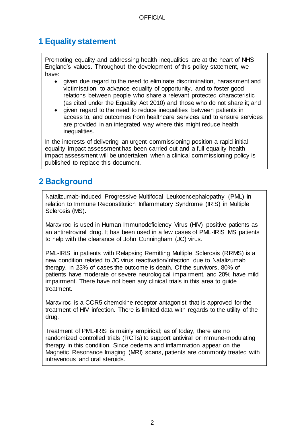# **1 Equality statement**

Promoting equality and addressing health inequalities are at the heart of NHS England's values. Throughout the development of this policy statement, we have:

- given due regard to the need to eliminate discrimination, harassment and victimisation, to advance equality of opportunity, and to foster good relations between people who share a relevant protected characteristic (as cited under the Equality Act 2010) and those who do not share it; and
- given regard to the need to reduce inequalities between patients in access to, and outcomes from healthcare services and to ensure services are provided in an integrated way where this might reduce health inequalities.

In the interests of delivering an urgent commissioning position a rapid initial equality impact assessment has been carried out and a full equality health impact assessment will be undertaken when a clinical commissioning policy is published to replace this document.

# **2 Background**

Natalizumab-induced Progressive Multifocal Leukoencephalopathy (PML) in relation to Immune Reconstitution Inflammatory Syndrome (IRIS) in Multiple Sclerosis (MS).

Maraviroc is used in Human Immunodeficiency Virus (HIV) positive patients as an antiretroviral drug. It has been used in a few cases of PML-IRIS MS patients to help with the clearance of John Cunningham (JC) virus.

PML-IRIS in patients with Relapsing Remitting Multiple Sclerosis (RRMS) is a new condition related to JC virus reactivation/infection due to Natalizumab therapy. In 23% of cases the outcome is death. Of the survivors, 80% of patients have moderate or severe neurological impairment, and 20% have mild impairment. There have not been any clinical trials in this area to guide treatment.

Maraviroc is a CCR5 chemokine receptor antagonist that is approved for the treatment of HIV infection. There is limited data with regards to the utility of the drug.

Treatment of PML-IRIS is mainly empirical; as of today, there are no randomized controlled trials (RCTs) to support antiviral or immune-modulating therapy in this condition. Since oedema and inflammation appear on the Magnetic Resonance Imaging (MRI) scans, patients are commonly treated with intravenous and oral steroids.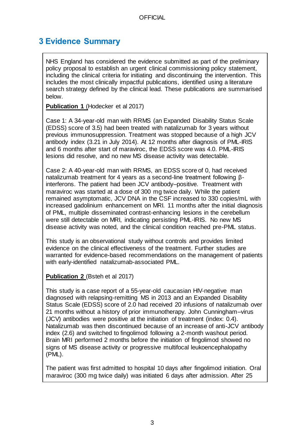### **3 Evidence Summary**

NHS England has considered the evidence submitted as part of the preliminary policy proposal to establish an urgent clinical commissioning policy statement, including the clinical criteria for initiating and discontinuing the intervention. This includes the most clinically impactful publications, identified using a literature search strategy defined by the clinical lead. These publications are summarised below.

**Publication 1** (Hodecker et al 2017)

Case 1: A 34-year-old man with RRMS (an Expanded Disability Status Scale (EDSS) score of 3.5) had been treated with natalizumab for 3 years without previous immunosuppression. Treatment was stopped because of a high JCV antibody index (3.21 in July 2014). At 12 months after diagnosis of PML-IRIS and 6 months after start of maraviroc, the EDSS score was 4.0. PML-IRIS lesions did resolve, and no new MS disease activity was detectable.

Case 2: A 40-year-old man with RRMS, an EDSS score of 0, had received natalizumab treatment for 4 years as a second-line treatment following βinterferons. The patient had been JCV antibody–positive. Treatment with maraviroc was started at a dose of 300 mg twice daily. While the patient remained asymptomatic, JCV DNA in the CSF increased to 330 copies/mL with increased gadolinium enhancement on MRI. 11 months after the initial diagnosis of PML, multiple disseminated contrast-enhancing lesions in the cerebellum were still detectable on MRI, indicating persisting PML-IRIS. No new MS disease activity was noted, and the clinical condition reached pre-PML status.

This study is an observational study without controls and provides limited evidence on the clinical effectiveness of the treatment. Further studies are warranted for evidence-based recommendations on the management of patients with early-identified natalizumab-associated PML.

#### **Publication 2** (Bsteh et al 2017)

This study is a case report of a 55-year-old caucasian HIV-negative man diagnosed with relapsing-remitting MS in 2013 and an Expanded Disability Status Scale (EDSS) score of 2.0 had received 20 infusions of natalizumab over 21 months without a history of prior immunotherapy. John Cunningham–virus (JCV) antibodies were positive at the initiation of treatment (index: 0.4). Natalizumab was then discontinued because of an increase of anti-JCV antibody index (2.6) and switched to fingolimod following a 2-month washout period. Brain MRI performed 2 months before the initiation of fingolimod showed no signs of MS disease activity or progressive multifocal leukoencephalopathy (PML).

The patient was first admitted to hospital 10 days after fingolimod initiation. Oral maraviroc (300 mg twice daily) was initiated 6 days after admission. After 25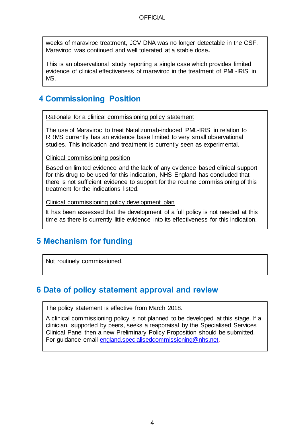weeks of maraviroc treatment, JCV DNA was no longer detectable in the CSF. Maraviroc was continued and well tolerated at a stable dose**.**

This is an observational study reporting a single case which provides limited evidence of clinical effectiveness of maraviroc in the treatment of PML-IRIS in MS.

# **4 Commissioning Position**

Rationale for a clinical commissioning policy statement

The use of Maraviroc to treat Natalizumab-induced PML-IRIS in relation to RRMS currently has an evidence base limited to very small observational studies. This indication and treatment is currently seen as experimental.

#### Clinical commissioning position

Based on limited evidence and the lack of any evidence based clinical support for this drug to be used for this indication, NHS England has concluded that there is not sufficient evidence to support for the routine commissioning of this treatment for the indications listed.

Clinical commissioning policy development plan

It has been assessed that the development of a full policy is not needed at this time as there is currently little evidence into its effectiveness for this indication.

### **5 Mechanism for funding**

Not routinely commissioned.

#### **6 Date of policy statement approval and review**

The policy statement is effective from March 2018.

A clinical commissioning policy is not planned to be developed at this stage. If a clinician, supported by peers, seeks a reappraisal by the Specialised Services Clinical Panel then a new Preliminary Policy Proposition should be submitted. For guidance email england.specialisedcommissioning@nhs.net.